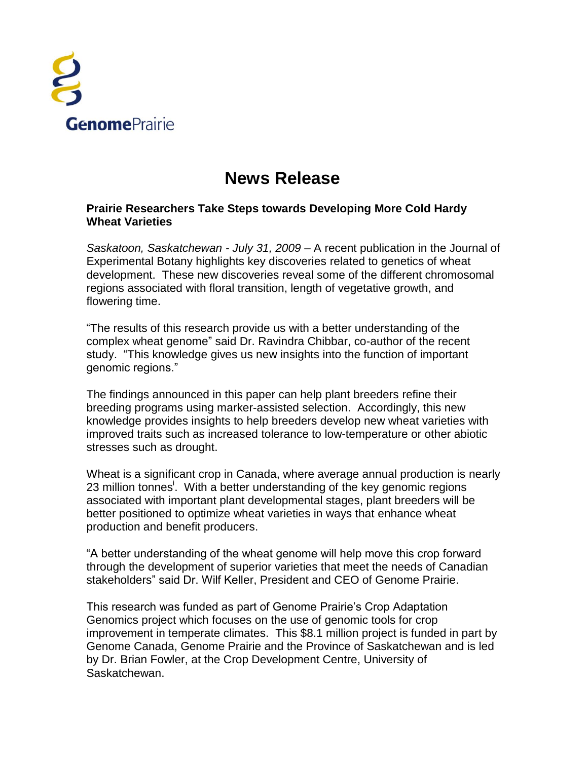

## **News Release**

## **Prairie Researchers Take Steps towards Developing More Cold Hardy Wheat Varieties**

*Saskatoon, Saskatchewan - July 31, 2009* – A recent publication in the Journal of Experimental Botany highlights key discoveries related to genetics of wheat development. These new discoveries reveal some of the different chromosomal regions associated with floral transition, length of vegetative growth, and flowering time.

"The results of this research provide us with a better understanding of the complex wheat genome" said Dr. Ravindra Chibbar, co-author of the recent study. "This knowledge gives us new insights into the function of important genomic regions."

The findings announced in this paper can help plant breeders refine their breeding programs using marker-assisted selection. Accordingly, this new knowledge provides insights to help breeders develop new wheat varieties with improved traits such as increased tolerance to low-temperature or other abiotic stresses such as drought.

Wheat is a significant crop in Canada, where average annual production is nearly 23 million tonnes<sup>i</sup>. With a better understanding of the key genomic regions associated with important plant developmental stages, plant breeders will be better positioned to optimize wheat varieties in ways that enhance wheat production and benefit producers.

"A better understanding of the wheat genome will help move this crop forward through the development of superior varieties that meet the needs of Canadian stakeholders" said Dr. Wilf Keller, President and CEO of Genome Prairie.

This research was funded as part of Genome Prairie's Crop Adaptation Genomics project which focuses on the use of genomic tools for crop improvement in temperate climates. This \$8.1 million project is funded in part by Genome Canada, Genome Prairie and the Province of Saskatchewan and is led by Dr. Brian Fowler, at the Crop Development Centre, University of Saskatchewan.